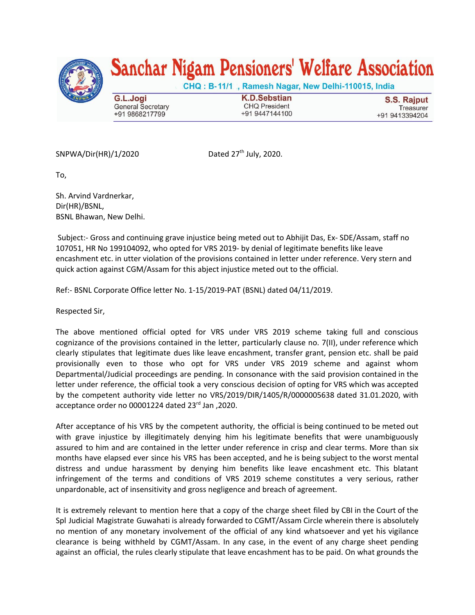

## Sanchar Nigam Pensioners' Welfare Association

CHQ: B-11/1, Ramesh Nagar, New Delhi-110015, India

G.L.Jogi **General Secretary** +91 9868217799

**K.D.Sebstian CHQ President** +91 9447144100

**S.S. Rajput** Treasurer +91 9413394204

 $SNPWA/Dir(HR)/1/2020$ 

th July, 2020.

To,

Sh. Arvind Vardnerkar, Dir(HR)/BSNL, BSNL Bhawan, New Delhi.

Subject:- Gross and continuing grave injustice being meted out to Abhijit Das, Ex- SDE/Assam, staff no 107051, HR No 199104092, who opted for VRS 2019- by denial of legitimate benefits like leave encashment etc. in utter violation of the provisions contained in letter under reference. Very stern and quick action against CGM/Assam for this abject injustice meted out to the official.

Ref:- BSNL Corporate Office letter No. 1-15/2019-PAT (BSNL) dated 04/11/2019.

Respected Sir,

The above mentioned official opted for VRS under VRS 2019 scheme taking full and conscious cognizance of the provisions contained in the letter, particularly clause no. 7(II), under reference which clearly stipulates that legitimate dues like leave encashment, transfer grant, pension etc. shall be paid provisionally even to those who opt for VRS under VRS 2019 scheme and against whom Departmental/Judicial proceedings are pending. In consonance with the said provision contained in the letter under reference, the official took a very conscious decision of opting for VRS which was accepted by the competent authority vide letter no VRS/2019/DIR/1405/R/0000005638 dated 31.01.2020, with acceptance order no 00001224 dated 23<sup>rd</sup> Jan ,2020.

After acceptance of his VRS by the competent authority, the official is being continued to be meted out with grave injustice by illegitimately denying him his legitimate benefits that were unambiguously assured to him and are contained in the letter under reference in crisp and clear terms. More than six months have elapsed ever since his VRS has been accepted, and he is being subject to the worst mental distress and undue harassment by denying him benefits like leave encashment etc. This blatant infringement of the terms and conditions of VRS 2019 scheme constitutes a very serious, rather unpardonable, act of insensitivity and gross negligence and breach of agreement.

It is extremely relevant to mention here that a copy of the charge sheet filed by CBI in the Court of the Spl Judicial Magistrate Guwahati is already forwarded to CGMT/Assam Circle wherein there is absolutely no mention of any monetary involvement of the official of any kind whatsoever and yet his vigilance clearance is being withheld by CGMT/Assam. In any case, in the event of any charge sheet pending against an official, the rules clearly stipulate that leave encashment has to be paid. On what grounds the